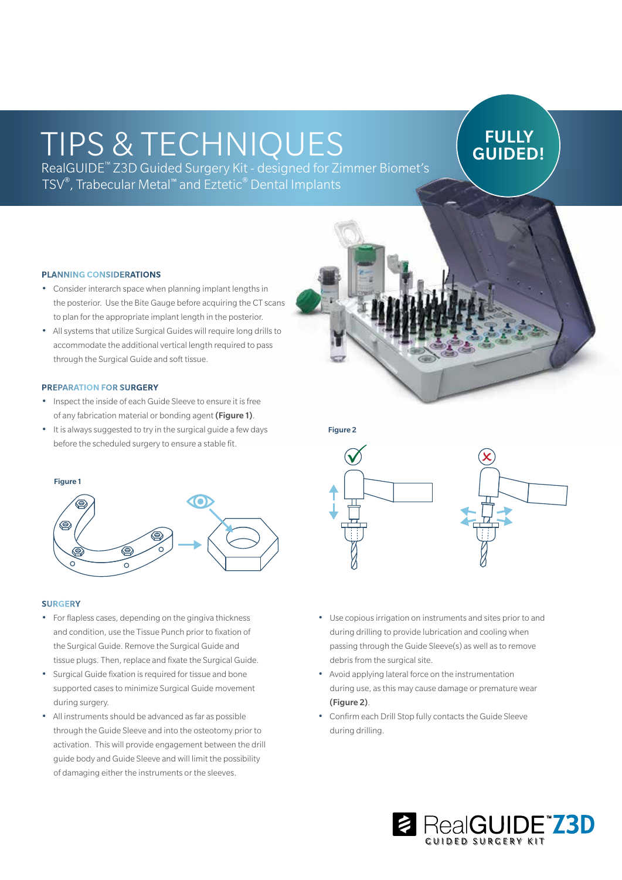# TIPS & TECHNIQUES RealGUIDE™ Z3D Guided Surgery Kit - designed for Zimmer Biomet's

TSV®, Trabecular Metal™ and Eztetic® Dental Implants

FULLY GUIDED!

# PLANNING CONSIDERATIONS

- Consider interarch space when planning implant lengths in the posterior. Use the Bite Gauge before acquiring the CT scans to plan for the appropriate implant length in the posterior.
- All systems that utilize Surgical Guides will require long drills to accommodate the additional vertical length required to pass through the Surgical Guide and soft tissue.

## PREPARATION FOR SURGERY

- Inspect the inside of each Guide Sleeve to ensure it is free of any fabrication material or bonding agent (Figure 1).
- It is always suggested to try in the surgical guide a few days before the scheduled surgery to ensure a stable fit.



### **SURGERY**

- For flapless cases, depending on the gingiva thickness and condition, use the Tissue Punch prior to fixation of the Surgical Guide. Remove the Surgical Guide and tissue plugs. Then, replace and fixate the Surgical Guide.
- Surgical Guide fixation is required for tissue and bone supported cases to minimize Surgical Guide movement during surgery.
- All instruments should be advanced as far as possible through the Guide Sleeve and into the osteotomy prior to activation. This will provide engagement between the drill guide body and Guide Sleeve and will limit the possibility of damaging either the instruments or the sleeves.





- Use copious irrigation on instruments and sites prior to and during drilling to provide lubrication and cooling when passing through the Guide Sleeve(s) as well as to remove debris from the surgical site.
- Avoid applying lateral force on the instrumentation during use, as this may cause damage or premature wear (Figure 2).
- Confirm each Drill Stop fully contacts the Guide Sleeve during drilling.